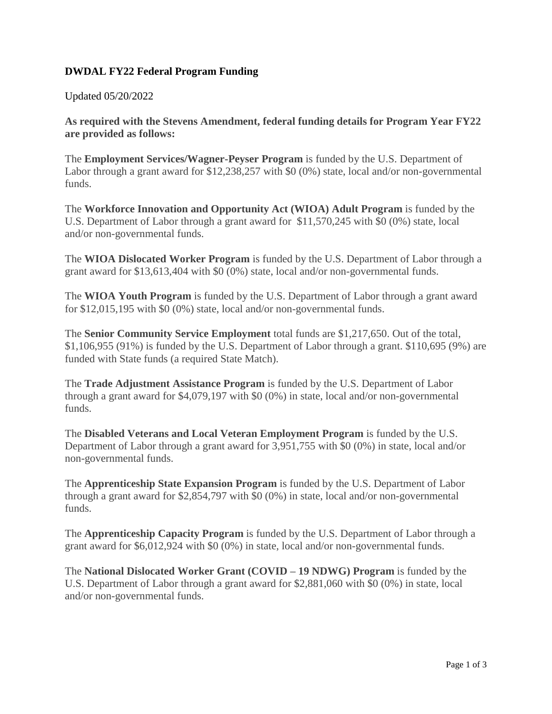## **DWDAL FY22 Federal Program Funding**

## Updated 05/20/2022

**As required with the Stevens Amendment, federal funding details for Program Year FY22 are provided as follows:**

The **Employment Services/Wagner-Peyser Program** is funded by the U.S. Department of Labor through a grant award for \$12,238,257 with \$0 (0%) state, local and/or non-governmental funds.

The **Workforce Innovation and Opportunity Act (WIOA) Adult Program** is funded by the U.S. Department of Labor through a grant award for \$11,570,245 with \$0 (0%) state, local and/or non-governmental funds.

The **WIOA Dislocated Worker Program** is funded by the U.S. Department of Labor through a grant award for \$13,613,404 with \$0 (0%) state, local and/or non-governmental funds.

The **WIOA Youth Program** is funded by the U.S. Department of Labor through a grant award for \$12,015,195 with \$0 (0%) state, local and/or non-governmental funds.

The **Senior Community Service Employment** total funds are \$1,217,650. Out of the total, \$1,106,955 (91%) is funded by the U.S. Department of Labor through a grant. \$110,695 (9%) are funded with State funds (a required State Match).

The **Trade Adjustment Assistance Program** is funded by the U.S. Department of Labor through a grant award for \$4,079,197 with \$0 (0%) in state, local and/or non-governmental funds.

The **Disabled Veterans and Local Veteran Employment Program** is funded by the U.S. Department of Labor through a grant award for 3,951,755 with \$0 (0%) in state, local and/or non-governmental funds.

The **Apprenticeship State Expansion Program** is funded by the U.S. Department of Labor through a grant award for \$2,854,797 with \$0 (0%) in state, local and/or non-governmental funds.

The **Apprenticeship Capacity Program** is funded by the U.S. Department of Labor through a grant award for \$6,012,924 with \$0 (0%) in state, local and/or non-governmental funds.

The **National Dislocated Worker Grant (COVID – 19 NDWG) Program** is funded by the U.S. Department of Labor through a grant award for \$2,881,060 with \$0 (0%) in state, local and/or non-governmental funds.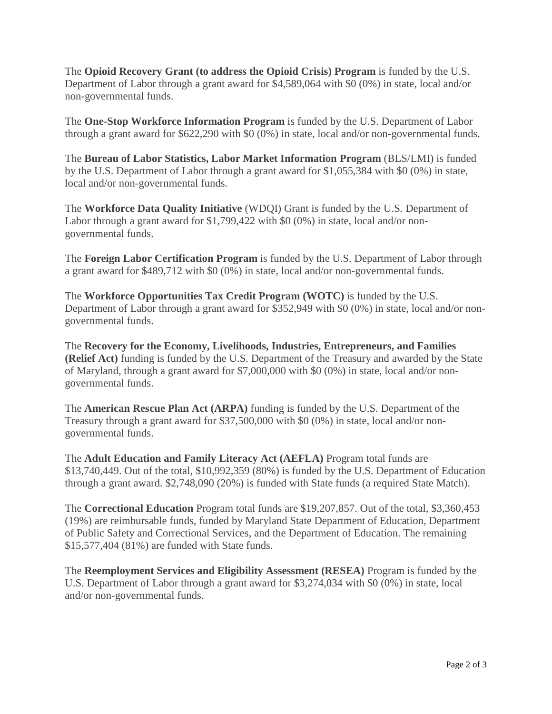The **Opioid Recovery Grant (to address the Opioid Crisis) Program** is funded by the U.S. Department of Labor through a grant award for \$4,589,064 with \$0 (0%) in state, local and/or non-governmental funds.

The **One-Stop Workforce Information Program** is funded by the U.S. Department of Labor through a grant award for \$622,290 with \$0 (0%) in state, local and/or non-governmental funds.

The **Bureau of Labor Statistics, Labor Market Information Program** (BLS/LMI) is funded by the U.S. Department of Labor through a grant award for \$1,055,384 with \$0 (0%) in state, local and/or non-governmental funds.

The **Workforce Data Quality Initiative** (WDQI) Grant is funded by the U.S. Department of Labor through a grant award for \$1,799,422 with \$0 (0%) in state, local and/or nongovernmental funds.

The **Foreign Labor Certification Program** is funded by the U.S. Department of Labor through a grant award for \$489,712 with \$0 (0%) in state, local and/or non-governmental funds.

The **Workforce Opportunities Tax Credit Program (WOTC)** is funded by the U.S. Department of Labor through a grant award for \$352,949 with \$0 (0%) in state, local and/or nongovernmental funds.

The **Recovery for the Economy, Livelihoods, Industries, Entrepreneurs, and Families (Relief Act)** funding is funded by the U.S. Department of the Treasury and awarded by the State of Maryland, through a grant award for \$7,000,000 with \$0 (0%) in state, local and/or nongovernmental funds.

The **American Rescue Plan Act (ARPA)** funding is funded by the U.S. Department of the Treasury through a grant award for \$37,500,000 with \$0 (0%) in state, local and/or nongovernmental funds.

The **Adult Education and Family Literacy Act (AEFLA)** Program total funds are \$13,740,449. Out of the total, \$10,992,359 (80%) is funded by the U.S. Department of Education through a grant award. \$2,748,090 (20%) is funded with State funds (a required State Match).

The **Correctional Education** Program total funds are \$19,207,857. Out of the total, \$3,360,453 (19%) are reimbursable funds, funded by Maryland State Department of Education, Department of Public Safety and Correctional Services, and the Department of Education. The remaining \$15,577,404 (81%) are funded with State funds.

The **Reemployment Services and Eligibility Assessment (RESEA)** Program is funded by the U.S. Department of Labor through a grant award for \$3,274,034 with \$0 (0%) in state, local and/or non-governmental funds.